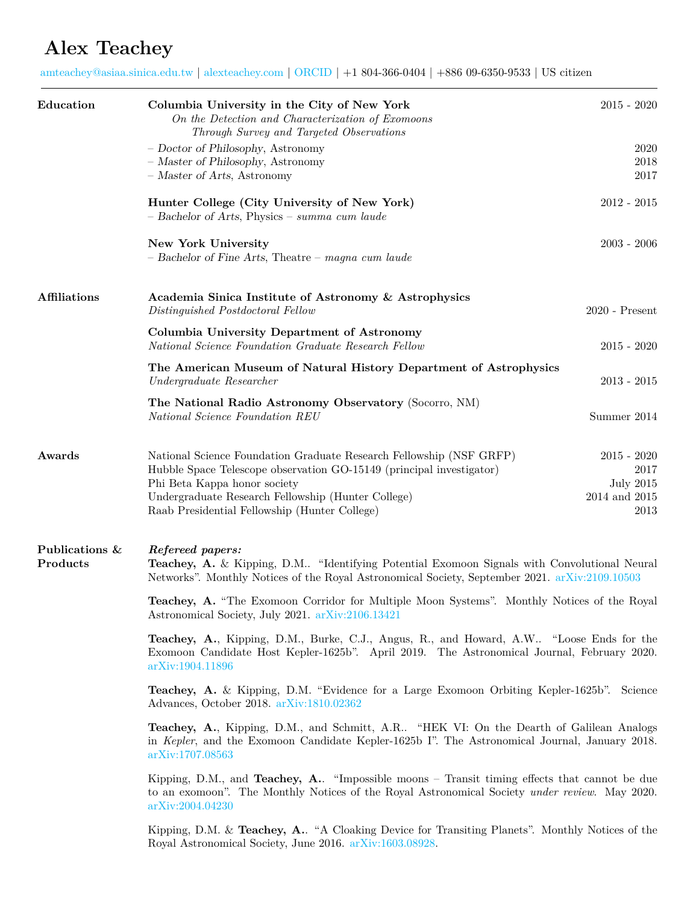## **Alex Teachey**

[amteachey@asiaa.sinica.edu.tw](mailto:amteachey@asiaa.sinica.edu.tw) | [alexteachey.com](http://www.alexteachey.com) | [ORCID](https://orcid.org/0000-0003-2331-5606) | +1 804-366-0404 | +886 09-6350-9533 | US citizen

| Education                  | Columbia University in the City of New York<br>On the Detection and Characterization of Exomoons<br>Through Survey and Targeted Observations                                                                                                                                       | $2015 - 2020$                                                      |  |
|----------------------------|------------------------------------------------------------------------------------------------------------------------------------------------------------------------------------------------------------------------------------------------------------------------------------|--------------------------------------------------------------------|--|
|                            | - Doctor of Philosophy, Astronomy<br>- Master of Philosophy, Astronomy<br>- Master of Arts, Astronomy                                                                                                                                                                              | 2020<br>2018<br>2017                                               |  |
|                            | Hunter College (City University of New York)<br>- Bachelor of Arts, Physics - summa cum laude                                                                                                                                                                                      | $2012 - 2015$                                                      |  |
|                            | New York University<br>$-$ Bachelor of Fine Arts, Theatre $-$ magna cum laude                                                                                                                                                                                                      | $2003 - 2006$                                                      |  |
| <b>Affiliations</b>        | Academia Sinica Institute of Astronomy & Astrophysics<br>Distinguished Postdoctoral Fellow                                                                                                                                                                                         | $2020$ - Present                                                   |  |
|                            | Columbia University Department of Astronomy<br>National Science Foundation Graduate Research Fellow                                                                                                                                                                                | $2015 - 2020$                                                      |  |
|                            | The American Museum of Natural History Department of Astrophysics<br>Undergraduate Researcher                                                                                                                                                                                      | $2013 - 2015$                                                      |  |
|                            | The National Radio Astronomy Observatory (Socorro, NM)<br>National Science Foundation REU                                                                                                                                                                                          | Summer 2014                                                        |  |
| Awards                     | National Science Foundation Graduate Research Fellowship (NSF GRFP)<br>Hubble Space Telescope observation GO-15149 (principal investigator)<br>Phi Beta Kappa honor society<br>Undergraduate Research Fellowship (Hunter College)<br>Raab Presidential Fellowship (Hunter College) | $2015 - 2020$<br>2017<br><b>July 2015</b><br>2014 and 2015<br>2013 |  |
| Publications &<br>Products | Refereed papers:<br><b>Teachey, A.</b> & Kipping, D.M "Identifying Potential Exomoon Signals with Convolutional Neural<br>Networks". Monthly Notices of the Royal Astronomical Society, September 2021. arXiv:2109.10503                                                           |                                                                    |  |
|                            | Teachey, A. "The Exomoon Corridor for Multiple Moon Systems". Monthly Notices of the Royal<br>Astronomical Society, July 2021. arXiv:2106.13421                                                                                                                                    |                                                                    |  |
|                            | <b>Teachey, A.</b> , Kipping, D.M., Burke, C.J., Angus, R., and Howard, A.W "Loose Ends for the<br>Exomoon Candidate Host Kepler-1625b". April 2019. The Astronomical Journal, February 2020.<br>arXiv:1904.11896                                                                  |                                                                    |  |
|                            | <b>Teachey, A.</b> & Kipping, D.M. "Evidence for a Large Exomoon Orbiting Kepler-1625b". Science<br>Advances, October 2018. arXiv:1810.02362                                                                                                                                       |                                                                    |  |
|                            | Teachey, A., Kipping, D.M., and Schmitt, A.R "HEK VI: On the Dearth of Galilean Analogs<br>in Kepler, and the Exomoon Candidate Kepler-1625b I". The Astronomical Journal, January 2018.<br>arXiv:1707.08563                                                                       |                                                                    |  |
|                            | Kipping, D.M., and Teachey, A. "Impossible moons - Transit timing effects that cannot be due<br>to an exomoon". The Monthly Notices of the Royal Astronomical Society under review. May 2020.<br>arXiv:2004.04230                                                                  |                                                                    |  |
|                            | Kipping, D.M. & Teachey, A "A Cloaking Device for Transiting Planets". Monthly Notices of the<br>Royal Astronomical Society, June 2016. arXiv:1603.08928.                                                                                                                          |                                                                    |  |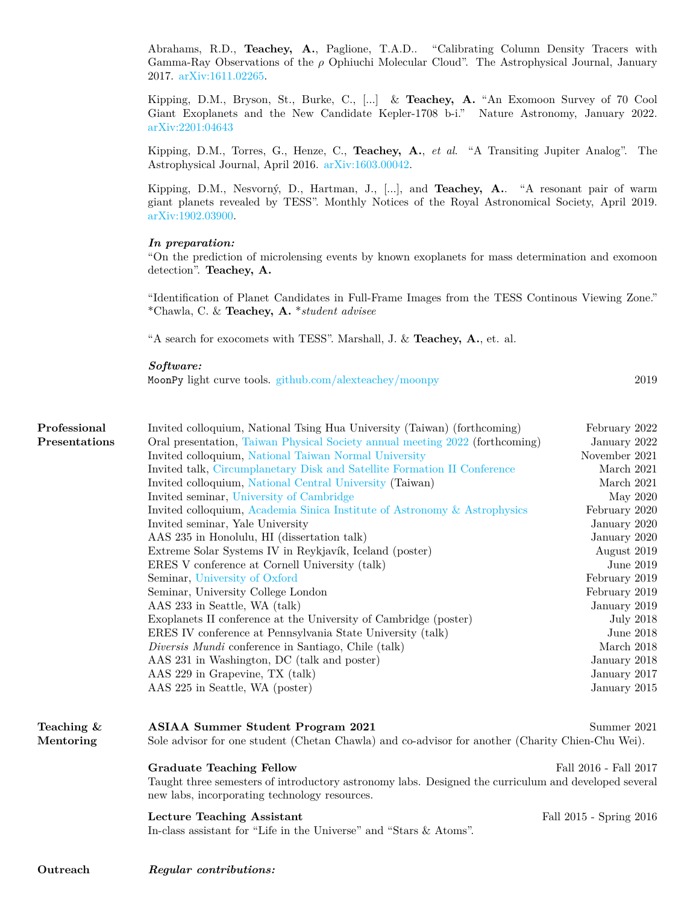Abrahams, R.D., **Teachey, A.**, Paglione, T.A.D.. "Calibrating Column Density Tracers with Gamma-Ray Observations of the *ρ* Ophiuchi Molecular Cloud". The Astrophysical Journal, January 2017. [arXiv:1611.02265](https://arxiv.org/abs/1611.02265).

Kipping, D.M., Bryson, St., Burke, C., [...] & **Teachey, A.** "An Exomoon Survey of 70 Cool Giant Exoplanets and the New Candidate Kepler-1708 b-i." Nature Astronomy, January 2022. [arXiv:2201:04643](https://arxiv.org/abs/2201.04643)

Kipping, D.M., Torres, G., Henze, C., **Teachey, A.**, *et al*. "A Transiting Jupiter Analog". The Astrophysical Journal, April 2016. [arXiv:1603.00042.](https://arxiv.org/abs/1603.00042)

Kipping, D.M., Nesvorný, D., Hartman, J., [...], and **Teachey, A.**. "A resonant pair of warm giant planets revealed by TESS". Monthly Notices of the Royal Astronomical Society, April 2019. [arXiv:1902.03900](https://arxiv.org/abs/1902.03900).

## *In preparation:*

"On the prediction of microlensing events by known exoplanets for mass determination and exomoon detection". **Teachey, A.**

"Identification of Planet Candidates in Full-Frame Images from the TESS Continous Viewing Zone." \*Chawla, C. & **Teachey, A.** \**student advisee*

"A search for exocomets with TESS". Marshall, J. & **Teachey, A.**, et. al.

## *Software:*

MoonPy light curve tools. [github.com/alexteachey/moonpy](https://github.com/alexteachey/moonpy) 2019

| Professional  | Invited colloquium, National Tsing Hua University (Taiwan) (forthcoming)                                                                              | February 2022           |  |
|---------------|-------------------------------------------------------------------------------------------------------------------------------------------------------|-------------------------|--|
| Presentations | Oral presentation, Taiwan Physical Society annual meeting 2022 (forthcoming)                                                                          | January 2022            |  |
|               | Invited colloquium, National Taiwan Normal University                                                                                                 | November 2021           |  |
|               | Invited talk, Circumplanetary Disk and Satellite Formation II Conference                                                                              | March 2021              |  |
|               | Invited colloquium, National Central University (Taiwan)                                                                                              | March 2021              |  |
|               | Invited seminar, University of Cambridge                                                                                                              | May 2020                |  |
|               | Invited colloquium, Academia Sinica Institute of Astronomy & Astrophysics                                                                             | February 2020           |  |
|               | Invited seminar, Yale University                                                                                                                      | January 2020            |  |
|               | AAS 235 in Honolulu, HI (dissertation talk)                                                                                                           | January 2020            |  |
|               | Extreme Solar Systems IV in Reykjavík, Iceland (poster)                                                                                               | August 2019             |  |
|               | ERES V conference at Cornell University (talk)                                                                                                        | June 2019               |  |
|               | Seminar, University of Oxford                                                                                                                         | February 2019           |  |
|               | Seminar, University College London                                                                                                                    | February 2019           |  |
|               | AAS 233 in Seattle, WA (talk)                                                                                                                         | January 2019            |  |
|               | Exoplanets II conference at the University of Cambridge (poster)                                                                                      | <b>July 2018</b>        |  |
|               | ERES IV conference at Pennsylvania State University (talk)                                                                                            | June 2018               |  |
|               | <i>Diversis Mundi</i> conference in Santiago, Chile (talk)                                                                                            | March 2018              |  |
|               | AAS 231 in Washington, DC (talk and poster)                                                                                                           | January 2018            |  |
|               | AAS 229 in Grapevine, TX (talk)                                                                                                                       | January 2017            |  |
|               | AAS 225 in Seattle, WA (poster)                                                                                                                       | January 2015            |  |
| Teaching &    | <b>ASIAA Summer Student Program 2021</b>                                                                                                              | Summer 2021             |  |
| Mentoring     | Sole advisor for one student (Chetan Chawla) and co-advisor for another (Charity Chien-Chu Wei).                                                      |                         |  |
|               | <b>Graduate Teaching Fellow</b>                                                                                                                       | Fall 2016 - Fall 2017   |  |
|               | Taught three semesters of introductory astronomy labs. Designed the curriculum and developed several<br>new labs, incorporating technology resources. |                         |  |
|               | <b>Lecture Teaching Assistant</b><br>In-class assistant for "Life in the Universe" and "Stars & Atoms".                                               | Fall 2015 - Spring 2016 |  |
|               |                                                                                                                                                       |                         |  |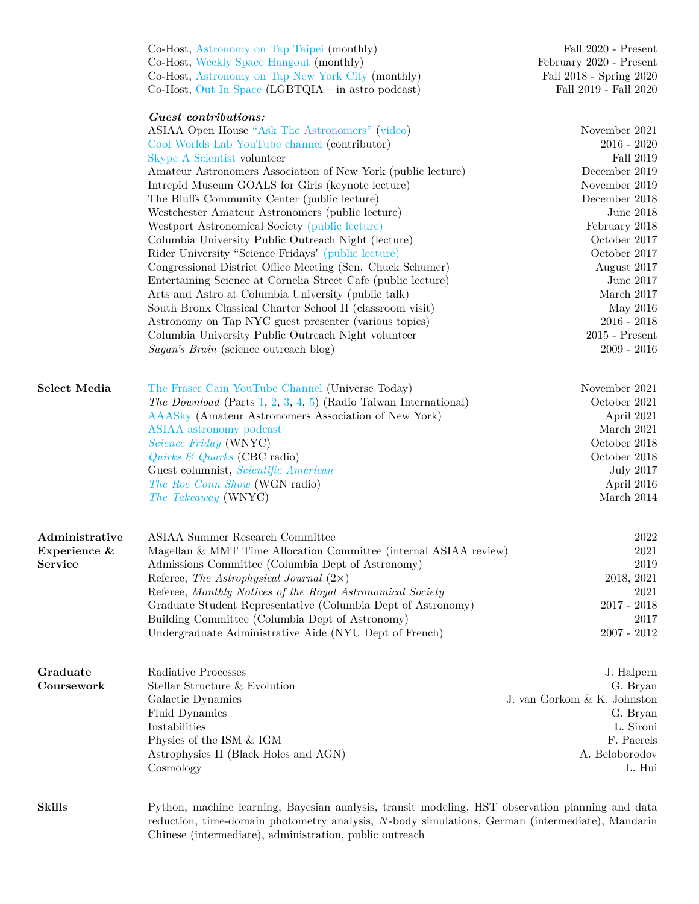|                | Co-Host, Astronomy on Tap Taipei (monthly)<br>Co-Host, Weekly Space Hangout (monthly)<br>Co-Host, Astronomy on Tap New York City (monthly)<br>Co-Host, Out In Space (LGBTQIA+ in astro podcast) | Fall 2020 - Present<br>February 2020 - Present<br>Fall 2018 - Spring 2020<br>Fall 2019 - Fall 2020 |
|----------------|-------------------------------------------------------------------------------------------------------------------------------------------------------------------------------------------------|----------------------------------------------------------------------------------------------------|
|                | Guest contributions:                                                                                                                                                                            |                                                                                                    |
|                | ASIAA Open House "Ask The Astronomers" (video)                                                                                                                                                  | November 2021                                                                                      |
|                | Cool Worlds Lab YouTube channel (contributor)                                                                                                                                                   | $2016 - 2020$                                                                                      |
|                | Skype A Scientist volunteer                                                                                                                                                                     | Fall 2019                                                                                          |
|                | Amateur Astronomers Association of New York (public lecture)                                                                                                                                    | December 2019                                                                                      |
|                | Intrepid Museum GOALS for Girls (keynote lecture)                                                                                                                                               | November 2019<br>December 2018                                                                     |
|                | The Bluffs Community Center (public lecture)<br>Westchester Amateur Astronomers (public lecture)                                                                                                | June 2018                                                                                          |
|                | Westport Astronomical Society (public lecture)                                                                                                                                                  | February 2018                                                                                      |
|                | Columbia University Public Outreach Night (lecture)                                                                                                                                             | October 2017                                                                                       |
|                | Rider University "Science Fridays" (public lecture)                                                                                                                                             | October 2017                                                                                       |
|                | Congressional District Office Meeting (Sen. Chuck Schumer)                                                                                                                                      | August 2017                                                                                        |
|                | Entertaining Science at Cornelia Street Cafe (public lecture)                                                                                                                                   | June 2017                                                                                          |
|                | Arts and Astro at Columbia University (public talk)                                                                                                                                             | March 2017                                                                                         |
|                | South Bronx Classical Charter School II (classroom visit)                                                                                                                                       | May 2016                                                                                           |
|                | Astronomy on Tap NYC guest presenter (various topics)                                                                                                                                           | $2016 - 2018$                                                                                      |
|                | Columbia University Public Outreach Night volunteer                                                                                                                                             | $2015$ - Present                                                                                   |
|                | Sagan's Brain (science outreach blog)                                                                                                                                                           | $2009 - 2016$                                                                                      |
| Select Media   | The Fraser Cain YouTube Channel (Universe Today)                                                                                                                                                | November 2021                                                                                      |
|                | <i>The Download</i> (Parts 1, 2, 3, 4, 5) (Radio Taiwan International)                                                                                                                          | October 2021                                                                                       |
|                | AAASky (Amateur Astronomers Association of New York)                                                                                                                                            | April 2021                                                                                         |
|                | ASIAA astronomy podcast                                                                                                                                                                         | March 2021                                                                                         |
|                | Science Friday (WNYC)                                                                                                                                                                           | October 2018                                                                                       |
|                | Quirks $\mathcal{B}$ Quarks (CBC radio)                                                                                                                                                         | October 2018                                                                                       |
|                | Guest columnist, Scientific American                                                                                                                                                            | <b>July 2017</b>                                                                                   |
|                | The Roe Conn Show (WGN radio)                                                                                                                                                                   | April 2016                                                                                         |
|                | <i>The Takeaway</i> (WNYC)                                                                                                                                                                      | March $2014$                                                                                       |
| Administrative | <b>ASIAA Summer Research Committee</b>                                                                                                                                                          | 2022                                                                                               |
| Experience &   | Magellan & MMT Time Allocation Committee (internal ASIAA review)                                                                                                                                | $\,2021$                                                                                           |
| <b>Service</b> | Admissions Committee (Columbia Dept of Astronomy)                                                                                                                                               | 2019                                                                                               |
|                | Referee, The Astrophysical Journal $(2\times)$                                                                                                                                                  | 2018, 2021                                                                                         |
|                | Referee, Monthly Notices of the Royal Astronomical Society                                                                                                                                      | 2021                                                                                               |
|                | Graduate Student Representative (Columbia Dept of Astronomy)                                                                                                                                    | $2017 - 2018$                                                                                      |
|                | Building Committee (Columbia Dept of Astronomy)<br>Undergraduate Administrative Aide (NYU Dept of French)                                                                                       | 2017<br>$2007 - 2012$                                                                              |
|                |                                                                                                                                                                                                 |                                                                                                    |
| Graduate       | Radiative Processes                                                                                                                                                                             | J. Halpern                                                                                         |
| Coursework     | Stellar Structure & Evolution                                                                                                                                                                   | G. Bryan                                                                                           |
|                | Galactic Dynamics                                                                                                                                                                               | J. van Gorkom & K. Johnston                                                                        |
|                | Fluid Dynamics                                                                                                                                                                                  | G. Bryan                                                                                           |
|                | Instabilities                                                                                                                                                                                   | L. Sironi<br>F. Paerels                                                                            |
|                | Physics of the ISM & IGM<br>Astrophysics II (Black Holes and AGN)                                                                                                                               | A. Beloborodov                                                                                     |
|                | Cosmology                                                                                                                                                                                       | L. Hui                                                                                             |
| <b>Skills</b>  | Python, machine learning, Bayesian analysis, transit modeling, HST observation planning and data                                                                                                |                                                                                                    |
|                | reduction, time-domain photometry analysis, N-body simulations, German (intermediate), Mandarin<br>Chinese (intermediate), administration, public outreach                                      |                                                                                                    |
|                |                                                                                                                                                                                                 |                                                                                                    |